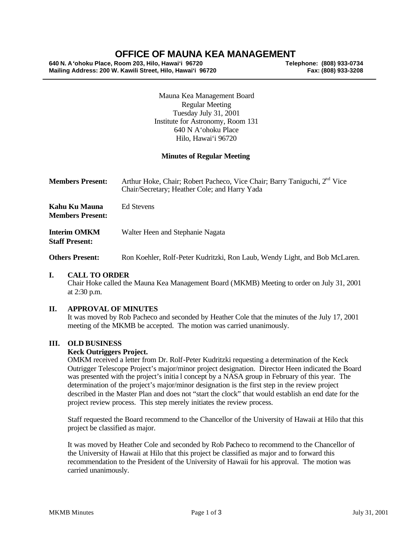# **OFFICE OF MAUNA KEA MANAGEMENT**

**640 N. A'ohoku Place, Room 203, Hilo, Hawai'i 96720 Telephone: (808) 933-0734 Mailing Address: 200 W. Kawili Street, Hilo, Hawai'i 96720** 

Mauna Kea Management Board Regular Meeting Tuesday July 31, 2001 Institute for Astronomy, Room 131 640 N A'ohoku Place Hilo, Hawai'i 96720

#### **Minutes of Regular Meeting**

| <b>Members Present:</b>                      | Arthur Hoke, Chair; Robert Pacheco, Vice Chair; Barry Taniguchi, 2 <sup>nd</sup> Vice<br>Chair/Secretary; Heather Cole; and Harry Yada |
|----------------------------------------------|----------------------------------------------------------------------------------------------------------------------------------------|
| Kahu Ku Mauna<br><b>Members Present:</b>     | Ed Stevens                                                                                                                             |
| <b>Interim OMKM</b><br><b>Staff Present:</b> | Walter Heen and Stephanie Nagata                                                                                                       |

**Others Present:** Ron Koehler, Rolf-Peter Kudritzki, Ron Laub, Wendy Light, and Bob McLaren.

#### **I. CALL TO ORDER**

Chair Hoke called the Mauna Kea Management Board (MKMB) Meeting to order on July 31, 2001 at 2:30 p.m.

# **II. APPROVAL OF MINUTES**

It was moved by Rob Pacheco and seconded by Heather Cole that the minutes of the July 17, 2001 meeting of the MKMB be accepted. The motion was carried unanimously.

#### **III. OLD BUSINESS**

#### **Keck Outriggers Project.**

OMKM received a letter from Dr. Rolf-Peter Kudritzki requesting a determination of the Keck Outrigger Telescope Project's major/minor project designation. Director Heen indicated the Board was presented with the project's initia l concept by a NASA group in February of this year. The determination of the project's major/minor designation is the first step in the review project described in the Master Plan and does not "start the clock" that would establish an end date for the project review process. This step merely initiates the review process.

Staff requested the Board recommend to the Chancellor of the University of Hawaii at Hilo that this project be classified as major.

It was moved by Heather Cole and seconded by Rob Pacheco to recommend to the Chancellor of the University of Hawaii at Hilo that this project be classified as major and to forward this recommendation to the President of the University of Hawaii for his approval. The motion was carried unanimously.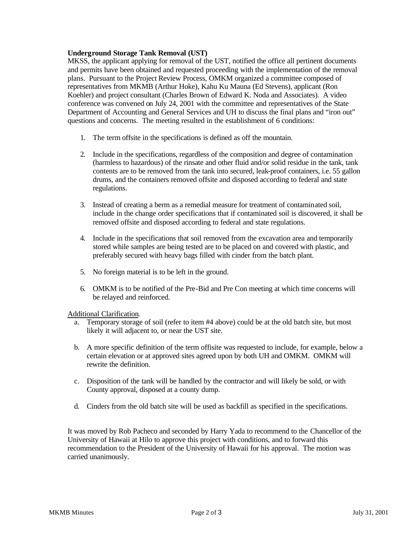# **Underground Storage Tank Removal (UST)**

MKSS, the applicant applying for removal of the UST, notified the office all pertinent documents and permits have been obtained and requested proceeding with the implementation of the removal plans. Pursuant to the Project Review Process, OMKM organized a committee composed of representatives from MKMB (Arthur Hoke), Kahu Ku Mauna (Ed Stevens), applicant (Ron Koehler) and project consultant (Charles Brown of Edward K. Noda and Associates). A video conference was convened on July 24, 2001 with the committee and representatives of the State Department of Accounting and General Services and UH to discuss the final plans and "iron out" questions and concerns. The meeting resulted in the establishment of 6 conditions:

- 1. The term offsite in the specifications is defined as off the mountain.
- 2. Include in the specifications, regardless of the composition and degree of contamination (harmless to hazardous) of the rinsate and other fluid and/or solid residue in the tank, tank contents are to be removed from the tank into secured, leak-proof containers, i.e. 55 gallon drums, and the containers removed offsite and disposed according to federal and state regulations.
- 3. Instead of creating a berm as a remedial measure for treatment of contaminated soil, include in the change order specifications that if contaminated soil is discovered, it shall be removed offsite and disposed according to federal and state regulations.
- 4. Include in the specifications that soil removed from the excavation area and temporarily stored while samples are being tested are to be placed on and covered with plastic, and preferably secured with heavy bags filled with cinder from the batch plant.
- 5. No foreign material is to be left in the ground.
- 6. OMKM is to be notified of the Pre-Bid and Pre Con meeting at which time concerns will be relayed and reinforced.

Additional Clarification.

- a. Temporary storage of soil (refer to item #4 above) could be at the old batch site, but most likely it will adjacent to, or near the UST site.
- b. A more specific definition of the term offisite was requested to include, for example, below a certain elevation or at approved sites agreed upon by both UH and OMKM. OMKM will rewrite the definition.
- c. Disposition of the tank will be handled by the contractor and will likely be sold, or with County approval, disposed at a county dump.
- d. Cinders from the old batch site will be used as backfill as specified in the specifications.

It was moved by Rob Pacheco and seconded by Harry Yada to recommend to the Chancellor of the University of Hawaii at Hilo to approve this project with conditions, and to forward this recommendation to the President of the University of Hawaii for his approval. The motion was carried unanimously.